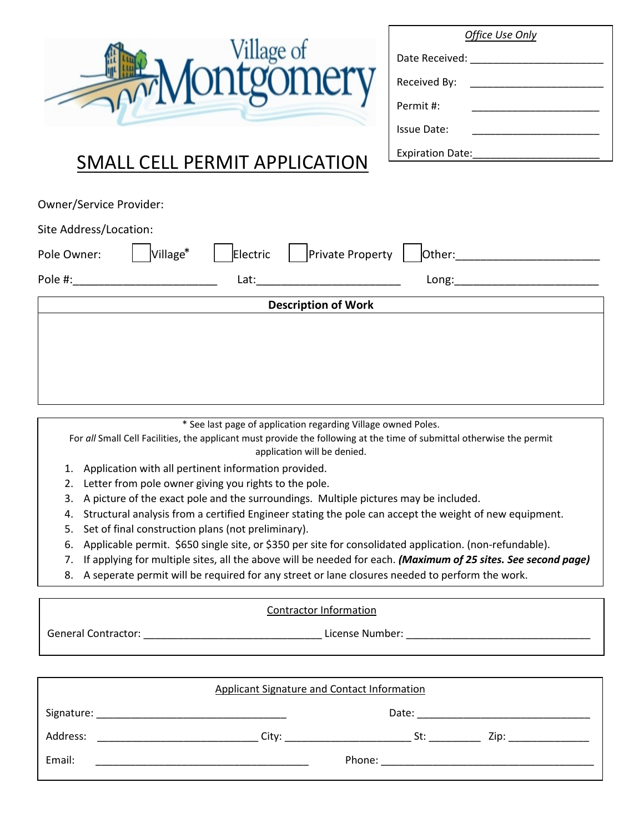| <b>Detaillage of</b> |  |
|----------------------|--|
|----------------------|--|

| Office Use Only         |  |  |
|-------------------------|--|--|
| Date Received:          |  |  |
| Received By:            |  |  |
| Permit #:               |  |  |
| Issue Date:             |  |  |
| <b>Expiration Date:</b> |  |  |
|                         |  |  |

## SMALL CELL PERMIT APPLICATION

| Owner/Service Provider: |                            |          |                  |        |  |
|-------------------------|----------------------------|----------|------------------|--------|--|
| Site Address/Location:  |                            |          |                  |        |  |
| Pole Owner:             | Village*                   | Electric | Private Property | Other: |  |
| Pole #:                 |                            | Lat:     |                  | Long:  |  |
|                         | <b>Description of Work</b> |          |                  |        |  |
|                         |                            |          |                  |        |  |
|                         |                            |          |                  |        |  |
|                         |                            |          |                  |        |  |
|                         |                            |          |                  |        |  |

\* See last page of application regarding Village owned Poles.

For *all* Small Cell Facilities, the applicant must provide the following at the time of submittal otherwise the permit application will be denied.

- 1. Application with all pertinent information provided.
- 2. Letter from pole owner giving you rights to the pole.
- 3. A picture of the exact pole and the surroundings. Multiple pictures may be included.
- 4. Structural analysis from a certified Engineer stating the pole can accept the weight of new equipment.
- 5. Set of final construction plans (not preliminary).
- 6. Applicable permit. \$650 single site, or \$350 per site for consolidated application. (non-refundable).
- 7. If applying for multiple sites, all the above will be needed for each. *(Maximum of 25 sites. See second page)*
- 8. A seperate permit will be required for any street or lane closures needed to perform the work.

#### Contractor Information

General Contractor: \_\_\_\_\_\_\_\_\_\_\_\_\_\_\_\_\_\_\_\_\_\_\_\_\_\_\_\_\_\_\_ License Number: \_\_\_\_\_\_\_\_\_\_\_\_\_\_\_\_\_\_\_\_\_\_\_\_\_\_\_\_\_\_\_\_

| Applicant Signature and Contact Information                                                                                          |       |        |      |
|--------------------------------------------------------------------------------------------------------------------------------------|-------|--------|------|
| Signature:<br><u> 1980 - Jan Bernard Bernard, mangalan perang perang perang perang perang perang perang perang perang perang per</u> |       | Date:  |      |
| Address:                                                                                                                             | City: | St:    | Zip: |
| Email:                                                                                                                               |       | Phone: |      |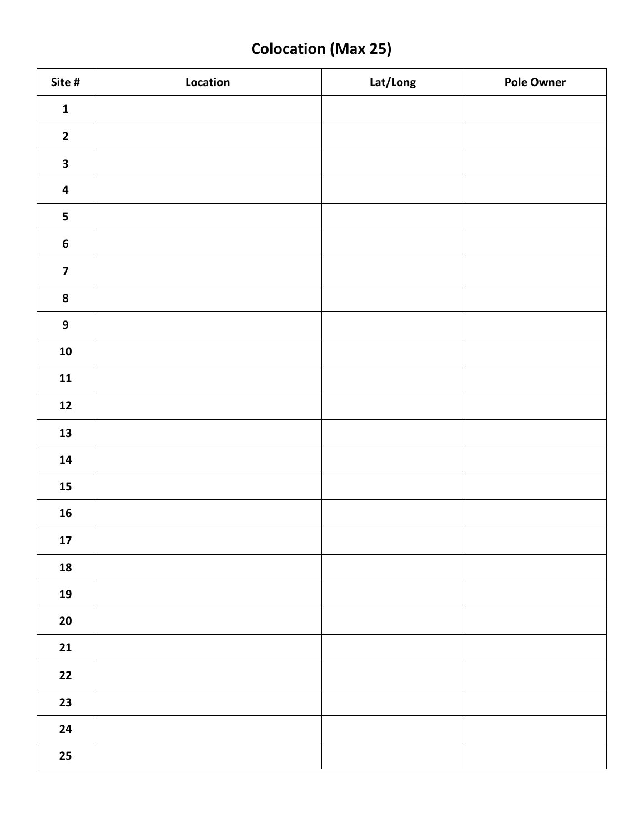# **Colocation (Max 25)**

| Site #                  | Location | Lat/Long | <b>Pole Owner</b> |
|-------------------------|----------|----------|-------------------|
| $\mathbf 1$             |          |          |                   |
| $\mathbf{2}$            |          |          |                   |
| $\overline{\mathbf{3}}$ |          |          |                   |
| $\overline{\mathbf{4}}$ |          |          |                   |
| 5                       |          |          |                   |
| $\boldsymbol{6}$        |          |          |                   |
| $\overline{\mathbf{z}}$ |          |          |                   |
| ${\bf 8}$               |          |          |                   |
| $\boldsymbol{9}$        |          |          |                   |
| ${\bf 10}$              |          |          |                   |
| 11                      |          |          |                   |
| $12$                    |          |          |                   |
| 13                      |          |          |                   |
| ${\bf 14}$              |          |          |                   |
| ${\bf 15}$              |          |          |                   |
| $16$                    |          |          |                   |
| $17\,$                  |          |          |                   |
| 18                      |          |          |                   |
| 19                      |          |          |                   |
| $20\,$                  |          |          |                   |
| 21                      |          |          |                   |
| $22$                    |          |          |                   |
| 23                      |          |          |                   |
| 24                      |          |          |                   |
| $25\phantom{.0}$        |          |          |                   |